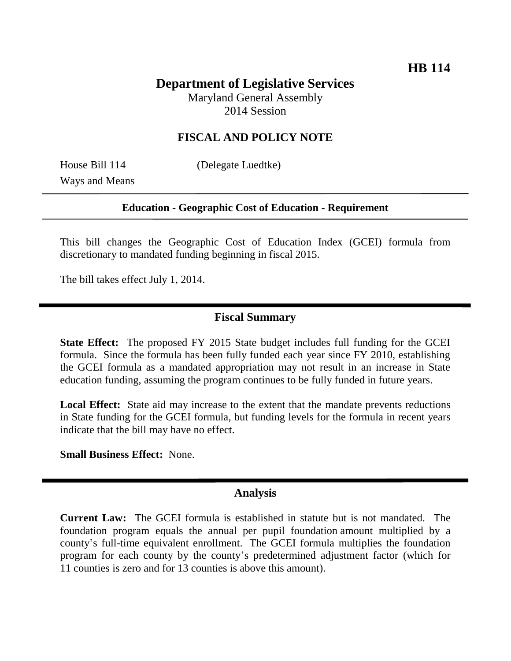# **Department of Legislative Services**

Maryland General Assembly 2014 Session

## **FISCAL AND POLICY NOTE**

Ways and Means

House Bill 114 (Delegate Luedtke)

#### **Education - Geographic Cost of Education - Requirement**

This bill changes the Geographic Cost of Education Index (GCEI) formula from discretionary to mandated funding beginning in fiscal 2015.

The bill takes effect July 1, 2014.

#### **Fiscal Summary**

**State Effect:** The proposed FY 2015 State budget includes full funding for the GCEI formula. Since the formula has been fully funded each year since FY 2010, establishing the GCEI formula as a mandated appropriation may not result in an increase in State education funding, assuming the program continues to be fully funded in future years.

**Local Effect:** State aid may increase to the extent that the mandate prevents reductions in State funding for the GCEI formula, but funding levels for the formula in recent years indicate that the bill may have no effect.

**Small Business Effect:** None.

### **Analysis**

**Current Law:** The GCEI formula is established in statute but is not mandated. The foundation program equals the annual per pupil foundation amount multiplied by a county's full-time equivalent enrollment. The GCEI formula multiplies the foundation program for each county by the county's predetermined adjustment factor (which for 11 counties is zero and for 13 counties is above this amount).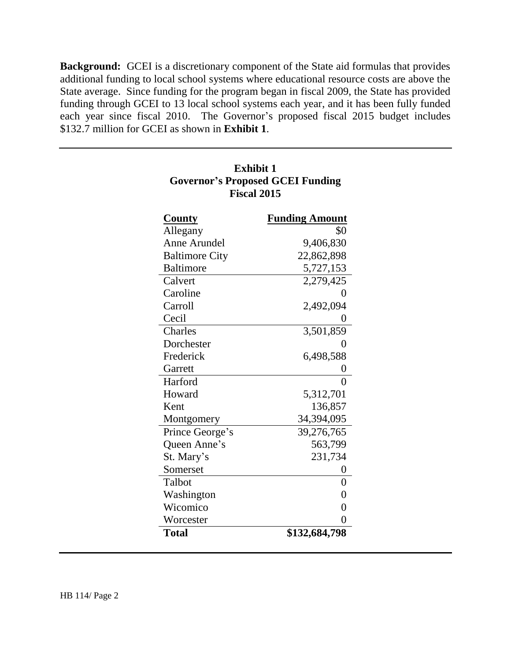**Background:** GCEI is a discretionary component of the State aid formulas that provides additional funding to local school systems where educational resource costs are above the State average. Since funding for the program began in fiscal 2009, the State has provided funding through GCEI to 13 local school systems each year, and it has been fully funded each year since fiscal 2010. The Governor's proposed fiscal 2015 budget includes \$132.7 million for GCEI as shown in **Exhibit 1**.

**Exhibit 1**

| <b>Governor's Proposed GCEI Funding</b> |                       |
|-----------------------------------------|-----------------------|
| <b>Fiscal 2015</b>                      |                       |
| <b>County</b>                           | <b>Funding Amount</b> |
| Allegany                                | \$0                   |
| Anne Arundel                            | 9,406,830             |
| <b>Baltimore City</b>                   | 22,862,898            |
| <b>Baltimore</b>                        | 5,727,153             |
| Calvert                                 | 2,279,425             |
| Caroline                                | 0                     |
| Carroll                                 | 2,492,094             |
| Cecil                                   | 0                     |
| Charles                                 | 3,501,859             |
| Dorchester                              | 0                     |
| Frederick                               | 6,498,588             |
| Garrett                                 | 0                     |
| Harford                                 | $\overline{0}$        |
| Howard                                  | 5,312,701             |
| Kent                                    | 136,857               |
| Montgomery                              | 34,394,095            |
| Prince George's                         | 39,276,765            |
| Queen Anne's                            | 563,799               |
| St. Mary's                              | 231,734               |
| Somerset                                | 0                     |
| Talbot                                  | $\overline{0}$        |
| Washington                              | $\overline{0}$        |
| Wicomico                                | $\overline{0}$        |
| Worcester                               | $\overline{0}$        |
| Total                                   | \$132,684,798         |